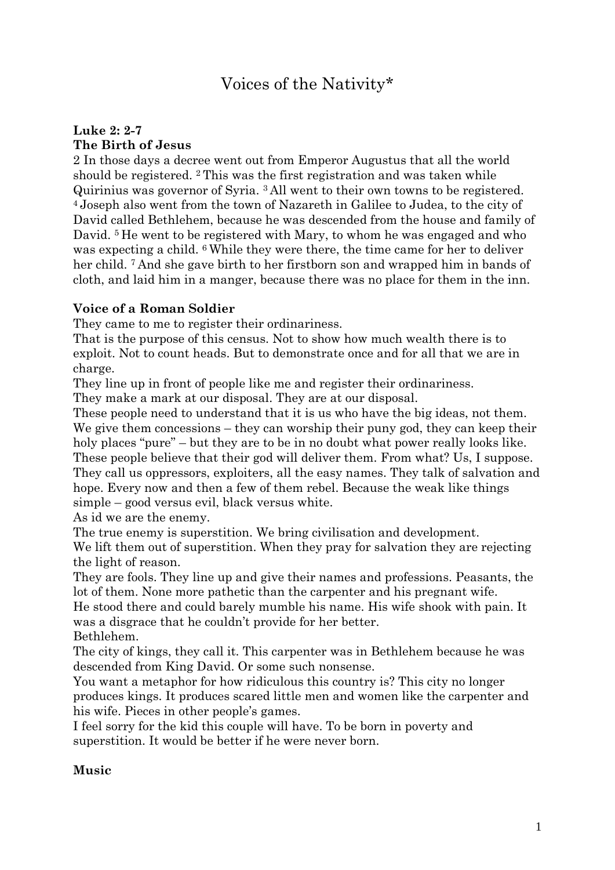# Voices of the Nativity\*

### **Luke 2: 2-7 The Birth of Jesus**

2 In those days a decree went out from Emperor Augustus that all the world should be registered. <sup>2</sup> This was the first registration and was taken while Quirinius was governor of Syria. <sup>3</sup> All went to their own towns to be registered. <sup>4</sup> Joseph also went from the town of Nazareth in Galilee to Judea, to the city of David called Bethlehem, because he was descended from the house and family of David.<sup>5</sup> He went to be registered with Mary, to whom he was engaged and who was expecting a child. <sup>6</sup> While they were there, the time came for her to deliver her child. <sup>7</sup> And she gave birth to her firstborn son and wrapped him in bands of cloth, and laid him in a manger, because there was no place for them in the inn.

## **Voice of a Roman Soldier**

They came to me to register their ordinariness.

That is the purpose of this census. Not to show how much wealth there is to exploit. Not to count heads. But to demonstrate once and for all that we are in charge.

They line up in front of people like me and register their ordinariness.

They make a mark at our disposal. They are at our disposal.

These people need to understand that it is us who have the big ideas, not them. We give them concessions – they can worship their puny god, they can keep their holy places "pure" – but they are to be in no doubt what power really looks like. These people believe that their god will deliver them. From what? Us, I suppose. They call us oppressors, exploiters, all the easy names. They talk of salvation and hope. Every now and then a few of them rebel. Because the weak like things simple – good versus evil, black versus white.

As id we are the enemy.

The true enemy is superstition. We bring civilisation and development.

We lift them out of superstition. When they pray for salvation they are rejecting the light of reason.

They are fools. They line up and give their names and professions. Peasants, the lot of them. None more pathetic than the carpenter and his pregnant wife.

He stood there and could barely mumble his name. His wife shook with pain. It was a disgrace that he couldn't provide for her better. Bethlehem.

The city of kings, they call it. This carpenter was in Bethlehem because he was descended from King David. Or some such nonsense.

You want a metaphor for how ridiculous this country is? This city no longer produces kings. It produces scared little men and women like the carpenter and his wife. Pieces in other people's games.

I feel sorry for the kid this couple will have. To be born in poverty and superstition. It would be better if he were never born.

# **Music**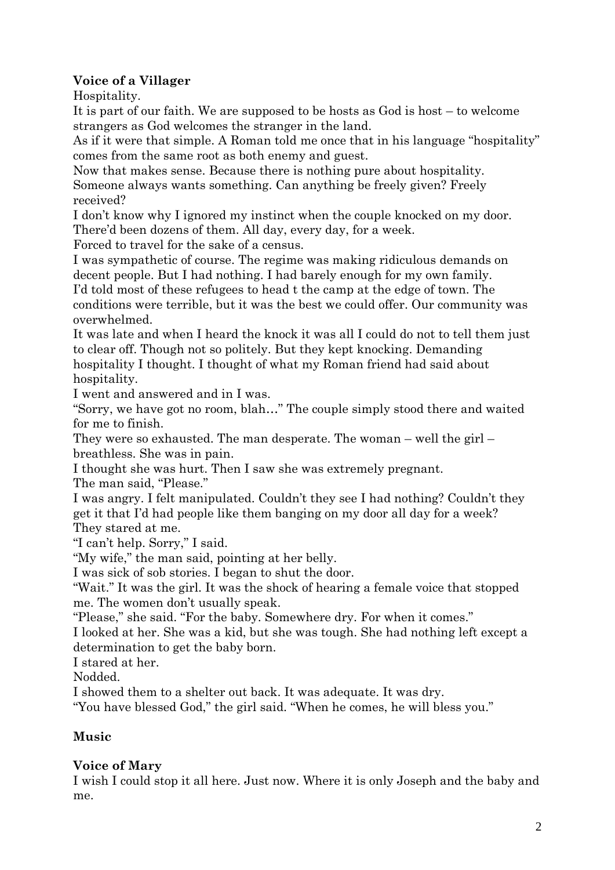## **Voice of a Villager**

Hospitality.

It is part of our faith. We are supposed to be hosts as God is host – to welcome strangers as God welcomes the stranger in the land.

As if it were that simple. A Roman told me once that in his language "hospitality" comes from the same root as both enemy and guest.

Now that makes sense. Because there is nothing pure about hospitality. Someone always wants something. Can anything be freely given? Freely received?

I don't know why I ignored my instinct when the couple knocked on my door. There'd been dozens of them. All day, every day, for a week.

Forced to travel for the sake of a census.

I was sympathetic of course. The regime was making ridiculous demands on decent people. But I had nothing. I had barely enough for my own family.

I'd told most of these refugees to head t the camp at the edge of town. The conditions were terrible, but it was the best we could offer. Our community was overwhelmed.

It was late and when I heard the knock it was all I could do not to tell them just to clear off. Though not so politely. But they kept knocking. Demanding hospitality I thought. I thought of what my Roman friend had said about hospitality.

I went and answered and in I was.

"Sorry, we have got no room, blah…" The couple simply stood there and waited for me to finish.

They were so exhausted. The man desperate. The woman – well the girl – breathless. She was in pain.

I thought she was hurt. Then I saw she was extremely pregnant.

The man said, "Please."

I was angry. I felt manipulated. Couldn't they see I had nothing? Couldn't they get it that I'd had people like them banging on my door all day for a week? They stared at me.

"I can't help. Sorry," I said.

"My wife," the man said, pointing at her belly.

I was sick of sob stories. I began to shut the door.

"Wait." It was the girl. It was the shock of hearing a female voice that stopped me. The women don't usually speak.

"Please," she said. "For the baby. Somewhere dry. For when it comes."

I looked at her. She was a kid, but she was tough. She had nothing left except a determination to get the baby born.

I stared at her.

Nodded.

I showed them to a shelter out back. It was adequate. It was dry.

"You have blessed God," the girl said. "When he comes, he will bless you."

# **Music**

# **Voice of Mary**

I wish I could stop it all here. Just now. Where it is only Joseph and the baby and me.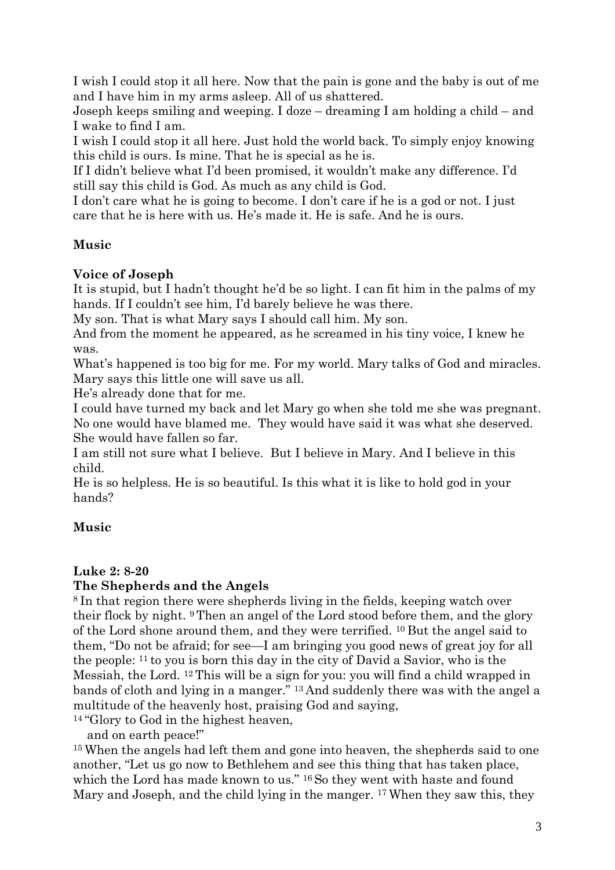I wish I could stop it all here. Now that the pain is gone and the baby is out of me and I have him in my arms asleep. All of us shattered.

Joseph keeps smiling and weeping. I doze – dreaming I am holding a child – and I wake to find I am.

I wish I could stop it all here. Just hold the world back. To simply enjoy knowing this child is ours. Is mine. That he is special as he is.

If I didn't believe what I'd been promised, it wouldn't make any difference. I'd still say this child is God. As much as any child is God.

I don't care what he is going to become. I don't care if he is a god or not. I just care that he is here with us. He's made it. He is safe. And he is ours.

# **Music**

## **Voice of Joseph**

It is stupid, but I hadn't thought he'd be so light. I can fit him in the palms of my hands. If I couldn't see him, I'd barely believe he was there.

My son. That is what Mary says I should call him. My son.

And from the moment he appeared, as he screamed in his tiny voice, I knew he was.

What's happened is too big for me. For my world. Mary talks of God and miracles. Mary says this little one will save us all.

He's already done that for me.

I could have turned my back and let Mary go when she told me she was pregnant. No one would have blamed me. They would have said it was what she deserved. She would have fallen so far.

I am still not sure what I believe. But I believe in Mary. And I believe in this child.

He is so helpless. He is so beautiful. Is this what it is like to hold god in your hands?

# **Music**

### **Luke 2: 8-20**

### **The Shepherds and the Angels**

<sup>8</sup> In that region there were shepherds living in the fields, keeping watch over their flock by night. <sup>9</sup> Then an angel of the Lord stood before them, and the glory of the Lord shone around them, and they were terrified. <sup>10</sup> But the angel said to them, "Do not be afraid; for see—I am bringing you good news of great joy for all the people: <sup>11</sup> to you is born this day in the city of David a Savior, who is the Messiah, the Lord. <sup>12</sup> This will be a sign for you: you will find a child wrapped in bands of cloth and lying in a manger." <sup>13</sup> And suddenly there was with the angel a multitude of the heavenly host, praising God and saying,

<sup>14</sup> "Glory to God in the highest heaven,

and on earth peace!"

<sup>15</sup> When the angels had left them and gone into heaven, the shepherds said to one another, "Let us go now to Bethlehem and see this thing that has taken place, which the Lord has made known to us." <sup>16</sup> So they went with haste and found Mary and Joseph, and the child lying in the manger. <sup>17</sup> When they saw this, they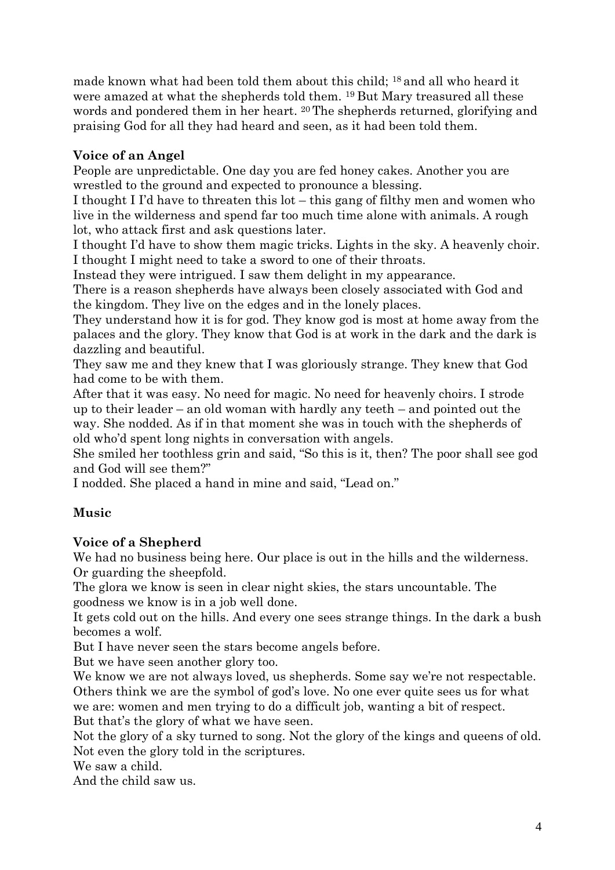made known what had been told them about this child; <sup>18</sup> and all who heard it were amazed at what the shepherds told them. <sup>19</sup> But Mary treasured all these words and pondered them in her heart. <sup>20</sup> The shepherds returned, glorifying and praising God for all they had heard and seen, as it had been told them.

## **Voice of an Angel**

People are unpredictable. One day you are fed honey cakes. Another you are wrestled to the ground and expected to pronounce a blessing.

I thought I I'd have to threaten this lot – this gang of filthy men and women who live in the wilderness and spend far too much time alone with animals. A rough lot, who attack first and ask questions later.

I thought I'd have to show them magic tricks. Lights in the sky. A heavenly choir. I thought I might need to take a sword to one of their throats.

Instead they were intrigued. I saw them delight in my appearance.

There is a reason shepherds have always been closely associated with God and the kingdom. They live on the edges and in the lonely places.

They understand how it is for god. They know god is most at home away from the palaces and the glory. They know that God is at work in the dark and the dark is dazzling and beautiful.

They saw me and they knew that I was gloriously strange. They knew that God had come to be with them.

After that it was easy. No need for magic. No need for heavenly choirs. I strode up to their leader – an old woman with hardly any teeth – and pointed out the way. She nodded. As if in that moment she was in touch with the shepherds of old who'd spent long nights in conversation with angels.

She smiled her toothless grin and said, "So this is it, then? The poor shall see god and God will see them?"

I nodded. She placed a hand in mine and said, "Lead on."

### **Music**

### **Voice of a Shepherd**

We had no business being here. Our place is out in the hills and the wilderness. Or guarding the sheepfold.

The glora we know is seen in clear night skies, the stars uncountable. The goodness we know is in a job well done.

It gets cold out on the hills. And every one sees strange things. In the dark a bush becomes a wolf.

But I have never seen the stars become angels before.

But we have seen another glory too.

We know we are not always loved, us shepherds. Some say we're not respectable. Others think we are the symbol of god's love. No one ever quite sees us for what we are: women and men trying to do a difficult job, wanting a bit of respect. But that's the glory of what we have seen.

Not the glory of a sky turned to song. Not the glory of the kings and queens of old. Not even the glory told in the scriptures.

We saw a child.

And the child saw us.